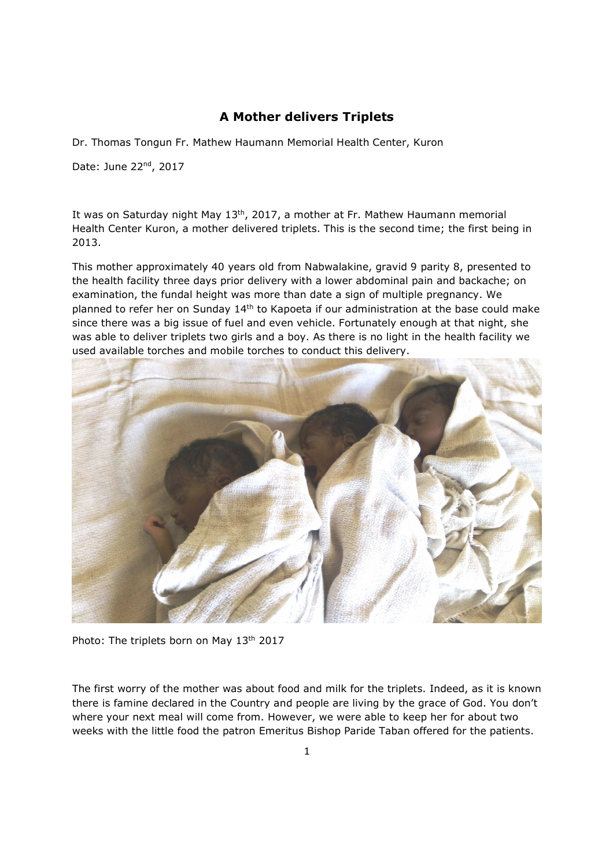## **A Mother delivers Triplets**

Dr. Thomas Tongun Fr. Mathew Haumann Memorial Health Center, Kuron

Date: June 22nd, 2017

It was on Saturday night May 13<sup>th</sup>, 2017, a mother at Fr. Mathew Haumann memorial Health Center Kuron, a mother delivered triplets. This is the second time; the first being in 2013.

This mother approximately 40 years old from Nabwalakine, gravid 9 parity 8, presented to the health facility three days prior delivery with a lower abdominal pain and backache; on examination, the fundal height was more than date a sign of multiple pregnancy. We planned to refer her on Sunday 14th to Kapoeta if our administration at the base could make since there was a big issue of fuel and even vehicle. Fortunately enough at that night, she was able to deliver triplets two girls and a boy. As there is no light in the health facility we used available torches and mobile torches to conduct this delivery.



Photo: The triplets born on May 13<sup>th</sup> 2017

The first worry of the mother was about food and milk for the triplets. Indeed, as it is known there is famine declared in the Country and people are living by the grace of God. You don't where your next meal will come from. However, we were able to keep her for about two weeks with the little food the patron Emeritus Bishop Paride Taban offered for the patients.